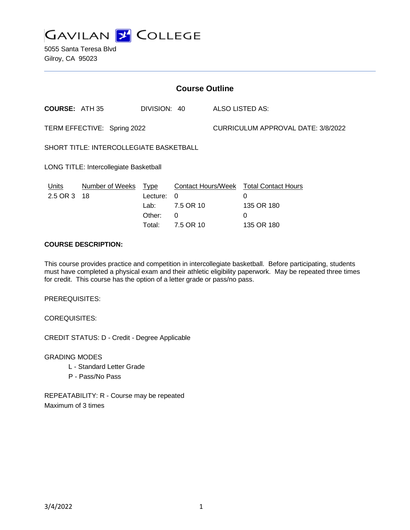

5055 Santa Teresa Blvd Gilroy, CA 95023

| <b>Course Outline</b>                          |                        |                                                     |                                         |                                    |                                                                                            |
|------------------------------------------------|------------------------|-----------------------------------------------------|-----------------------------------------|------------------------------------|--------------------------------------------------------------------------------------------|
| <b>COURSE: ATH 35</b>                          |                        | DIVISION: 40                                        |                                         |                                    | ALSO LISTED AS:                                                                            |
| TERM EFFECTIVE: Spring 2022                    |                        |                                                     |                                         | CURRICULUM APPROVAL DATE: 3/8/2022 |                                                                                            |
| <b>SHORT TITLE: INTERCOLLEGIATE BASKETBALL</b> |                        |                                                     |                                         |                                    |                                                                                            |
| LONG TITLE: Intercollegiate Basketball         |                        |                                                     |                                         |                                    |                                                                                            |
| <b>Units</b><br>2.5 OR 3 18                    | <b>Number of Weeks</b> | <b>Type</b><br>Lecture:<br>Lab:<br>Other:<br>Total: | 0<br>7.5 OR 10<br>$\Omega$<br>7.5 OR 10 |                                    | Contact Hours/Week Total Contact Hours<br>$\Omega$<br>135 OR 180<br>$\Omega$<br>135 OR 180 |

### **COURSE DESCRIPTION:**

This course provides practice and competition in intercollegiate basketball. Before participating, students must have completed a physical exam and their athletic eligibility paperwork. May be repeated three times for credit. This course has the option of a letter grade or pass/no pass.

PREREQUISITES:

COREQUISITES:

CREDIT STATUS: D - Credit - Degree Applicable

GRADING MODES

- L Standard Letter Grade
- P Pass/No Pass

REPEATABILITY: R - Course may be repeated Maximum of 3 times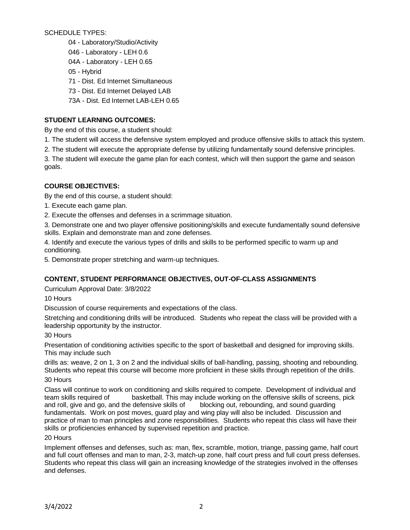SCHEDULE TYPES:

- 04 Laboratory/Studio/Activity
- 046 Laboratory LEH 0.6
- 04A Laboratory LEH 0.65
- 05 Hybrid
- 71 Dist. Ed Internet Simultaneous
- 73 Dist. Ed Internet Delayed LAB
- 73A Dist. Ed Internet LAB-LEH 0.65

# **STUDENT LEARNING OUTCOMES:**

By the end of this course, a student should:

- 1. The student will access the defensive system employed and produce offensive skills to attack this system.
- 2. The student will execute the appropriate defense by utilizing fundamentally sound defensive principles.

3. The student will execute the game plan for each contest, which will then support the game and season goals.

# **COURSE OBJECTIVES:**

By the end of this course, a student should:

1. Execute each game plan.

2. Execute the offenses and defenses in a scrimmage situation.

3. Demonstrate one and two player offensive positioning/skills and execute fundamentally sound defensive skills. Explain and demonstrate man and zone defenses.

4. Identify and execute the various types of drills and skills to be performed specific to warm up and conditioning.

5. Demonstrate proper stretching and warm-up techniques.

## **CONTENT, STUDENT PERFORMANCE OBJECTIVES, OUT-OF-CLASS ASSIGNMENTS**

Curriculum Approval Date: 3/8/2022

10 Hours

Discussion of course requirements and expectations of the class.

Stretching and conditioning drills will be introduced. Students who repeat the class will be provided with a leadership opportunity by the instructor.

#### 30 Hours

Presentation of conditioning activities specific to the sport of basketball and designed for improving skills. This may include such

drills as: weave, 2 on 1, 3 on 2 and the individual skills of ball-handling, passing, shooting and rebounding. Students who repeat this course will become more proficient in these skills through repetition of the drills.

#### 30 Hours

Class will continue to work on conditioning and skills required to compete. Development of individual and team skills required of basketball. This may include working on the offensive skills of screens, pick and roll, give and go, and the defensive skills of blocking out, rebounding, and sound guarding fundamentals. Work on post moves, guard play and wing play will also be included. Discussion and practice of man to man principles and zone responsibilities. Students who repeat this class will have their skills or proficiencies enhanced by supervised repetition and practice.

#### 20 Hours

Implement offenses and defenses, such as: man, flex, scramble, motion, triange, passing game, half court and full court offenses and man to man, 2-3, match-up zone, half court press and full court press defenses. Students who repeat this class will gain an increasing knowledge of the strategies involved in the offenses and defenses.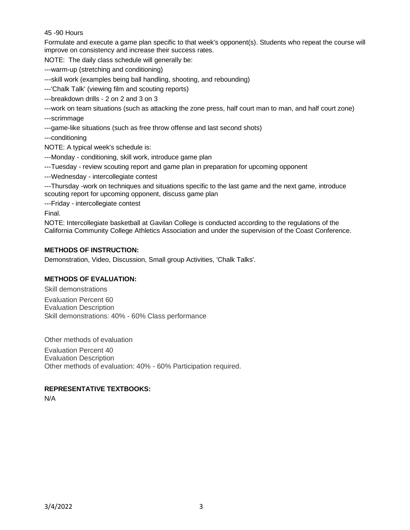#### 45 -90 Hours

Formulate and execute a game plan specific to that week's opponent(s). Students who repeat the course will improve on consistency and increase their success rates.

NOTE: The daily class schedule will generally be:

---warm-up (stretching and conditioning)

---skill work (examples being ball handling, shooting, and rebounding)

---'Chalk Talk' (viewing film and scouting reports)

---breakdown drills - 2 on 2 and 3 on 3

---work on team situations (such as attacking the zone press, half court man to man, and half court zone)

---scrimmage

---game-like situations (such as free throw offense and last second shots)

---conditioning

NOTE: A typical week's schedule is:

---Monday - conditioning, skill work, introduce game plan

---Tuesday - review scouting report and game plan in preparation for upcoming opponent

---Wednesday - intercollegiate contest

---Thursday -work on techniques and situations specific to the last game and the next game, introduce scouting report for upcoming opponent, discuss game plan

---Friday - intercollegiate contest

Final.

NOTE: Intercollegiate basketball at Gavilan College is conducted according to the regulations of the California Community College Athletics Association and under the supervision of the Coast Conference.

#### **METHODS OF INSTRUCTION:**

Demonstration, Video, Discussion, Small group Activities, 'Chalk Talks'.

#### **METHODS OF EVALUATION:**

Skill demonstrations

Evaluation Percent 60 Evaluation Description Skill demonstrations: 40% - 60% Class performance

Other methods of evaluation

Evaluation Percent 40 Evaluation Description Other methods of evaluation: 40% - 60% Participation required.

#### **REPRESENTATIVE TEXTBOOKS:**

N/A